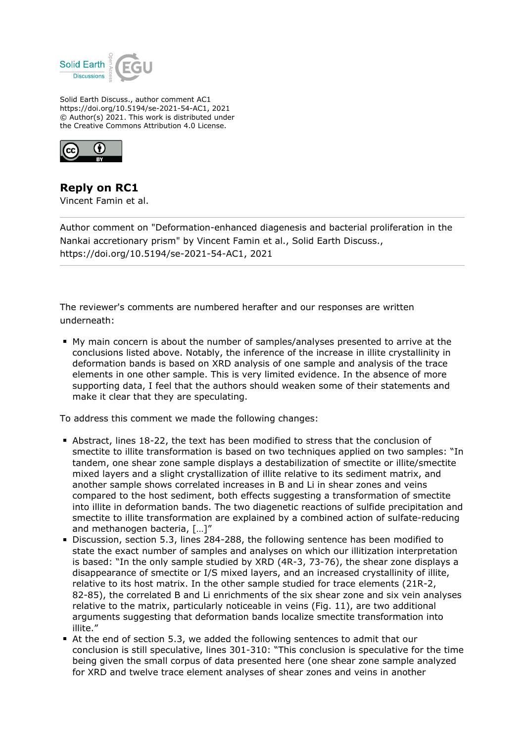

Solid Earth Discuss., author comment AC1 https://doi.org/10.5194/se-2021-54-AC1, 2021 © Author(s) 2021. This work is distributed under the Creative Commons Attribution 4.0 License.



**Reply on RC1** Vincent Famin et al.

Author comment on "Deformation-enhanced diagenesis and bacterial proliferation in the Nankai accretionary prism" by Vincent Famin et al., Solid Earth Discuss., https://doi.org/10.5194/se-2021-54-AC1, 2021

The reviewer's comments are numbered herafter and our responses are written underneath:

My main concern is about the number of samples/analyses presented to arrive at the conclusions listed above. Notably, the inference of the increase in illite crystallinity in deformation bands is based on XRD analysis of one sample and analysis of the trace elements in one other sample. This is very limited evidence. In the absence of more supporting data, I feel that the authors should weaken some of their statements and make it clear that they are speculating.

To address this comment we made the following changes:

- Abstract, lines 18-22, the text has been modified to stress that the conclusion of smectite to illite transformation is based on two techniques applied on two samples: "In tandem, one shear zone sample displays a destabilization of smectite or illite/smectite mixed layers and a slight crystallization of illite relative to its sediment matrix, and another sample shows correlated increases in B and Li in shear zones and veins compared to the host sediment, both effects suggesting a transformation of smectite into illite in deformation bands. The two diagenetic reactions of sulfide precipitation and smectite to illite transformation are explained by a combined action of sulfate-reducing and methanogen bacteria, […]"
- Discussion, section 5.3, lines 284-288, the following sentence has been modified to state the exact number of samples and analyses on which our illitization interpretation is based: "In the only sample studied by XRD (4R-3, 73-76), the shear zone displays a disappearance of smectite or I/S mixed layers, and an increased crystallinity of illite, relative to its host matrix. In the other sample studied for trace elements (21R-2, 82-85), the correlated B and Li enrichments of the six shear zone and six vein analyses relative to the matrix, particularly noticeable in veins (Fig. 11), are two additional arguments suggesting that deformation bands localize smectite transformation into illite."
- At the end of section 5.3, we added the following sentences to admit that our conclusion is still speculative, lines 301-310: "This conclusion is speculative for the time being given the small corpus of data presented here (one shear zone sample analyzed for XRD and twelve trace element analyses of shear zones and veins in another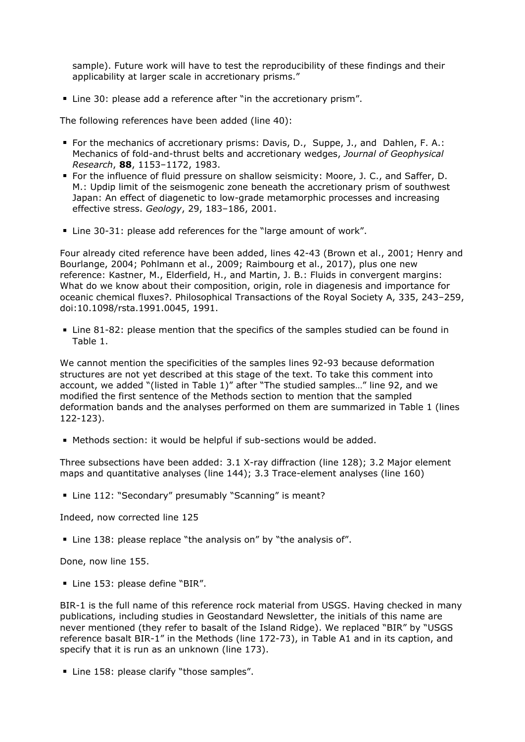sample). Future work will have to test the reproducibility of these findings and their applicability at larger scale in accretionary prisms."

■ Line 30: please add a reference after "in the accretionary prism".

The following references have been added (line 40):

- For the mechanics of accretionary prisms: Davis, D., Suppe, J., and Dahlen, F. A.: Mechanics of fold-and-thrust belts and accretionary wedges, *Journal of Geophysical Research*, **88**, 1153–1172, 1983.
- For the influence of fluid pressure on shallow seismicity: Moore, J. C., and Saffer, D. M.: Updip limit of the seismogenic zone beneath the accretionary prism of southwest Japan: An effect of diagenetic to low-grade metamorphic processes and increasing effective stress. *Geology*, 29, 183–186, 2001.
- **Line 30-31: please add references for the "large amount of work".**

Four already cited reference have been added, lines 42-43 (Brown et al., 2001; Henry and Bourlange, 2004; Pohlmann et al., 2009; Raimbourg et al., 2017), plus one new reference: Kastner, M., Elderfield, H., and Martin, J. B.: Fluids in convergent margins: What do we know about their composition, origin, role in diagenesis and importance for oceanic chemical fluxes?. Philosophical Transactions of the Royal Society A, 335, 243–259, doi:10.1098/rsta.1991.0045, 1991.

Line 81-82: please mention that the specifics of the samples studied can be found in Table 1.

We cannot mention the specificities of the samples lines 92-93 because deformation structures are not yet described at this stage of the text. To take this comment into account, we added "(listed in Table 1)" after "The studied samples…" line 92, and we modified the first sentence of the Methods section to mention that the sampled deformation bands and the analyses performed on them are summarized in Table 1 (lines 122-123).

Methods section: it would be helpful if sub-sections would be added.

Three subsections have been added: 3.1 X-ray diffraction (line 128); 3.2 Major element maps and quantitative analyses (line 144); 3.3 Trace-element analyses (line 160)

Line 112: "Secondary" presumably "Scanning" is meant?

Indeed, now corrected line 125

■ Line 138: please replace "the analysis on" by "the analysis of".

Done, now line 155.

Line 153: please define "BIR".

BIR-1 is the full name of this reference rock material from USGS. Having checked in many publications, including studies in Geostandard Newsletter, the initials of this name are never mentioned (they refer to basalt of the Island Ridge). We replaced "BIR" by "USGS reference basalt BIR-1" in the Methods (line 172-73), in Table A1 and in its caption, and specify that it is run as an unknown (line 173).

Line 158: please clarify "those samples".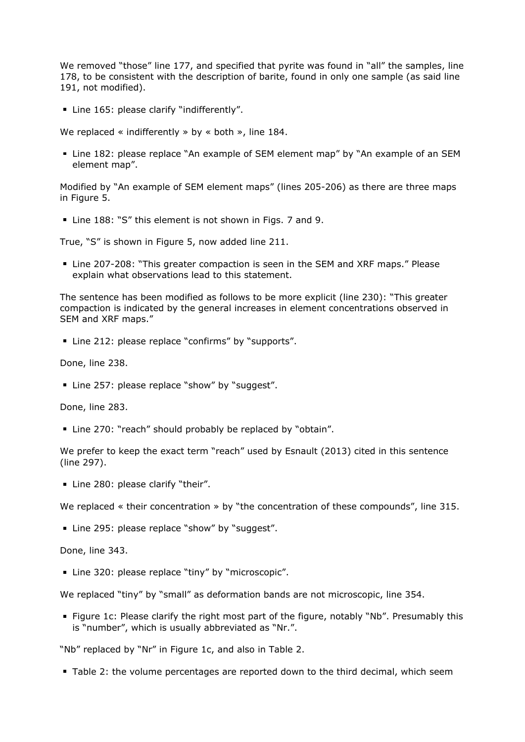We removed "those" line 177, and specified that pyrite was found in "all" the samples, line 178, to be consistent with the description of barite, found in only one sample (as said line 191, not modified).

**EXEC** Line 165: please clarify "indifferently".

We replaced « indifferently » by « both », line 184.

Line 182: please replace "An example of SEM element map" by "An example of an SEM element map".

Modified by "An example of SEM element maps" (lines 205-206) as there are three maps in Figure 5.

Line 188: "S" this element is not shown in Figs. 7 and 9.

True, "S" is shown in Figure 5, now added line 211.

Line 207-208: "This greater compaction is seen in the SEM and XRF maps." Please explain what observations lead to this statement.

The sentence has been modified as follows to be more explicit (line 230): "This greater compaction is indicated by the general increases in element concentrations observed in SEM and XRF maps."

Line 212: please replace "confirms" by "supports".

Done, line 238.

■ Line 257: please replace "show" by "suggest".

Done, line 283.

Line 270: "reach" should probably be replaced by "obtain".

We prefer to keep the exact term "reach" used by Esnault (2013) cited in this sentence (line 297).

Line 280: please clarify "their".

We replaced « their concentration » by "the concentration of these compounds", line 315.

■ Line 295: please replace "show" by "suggest".

Done, line 343.

**Line 320: please replace "tiny" by "microscopic".** 

We replaced "tiny" by "small" as deformation bands are not microscopic, line 354.

Figure 1c: Please clarify the right most part of the figure, notably "Nb". Presumably this is "number", which is usually abbreviated as "Nr.".

"Nb" replaced by "Nr" in Figure 1c, and also in Table 2.

Table 2: the volume percentages are reported down to the third decimal, which seem